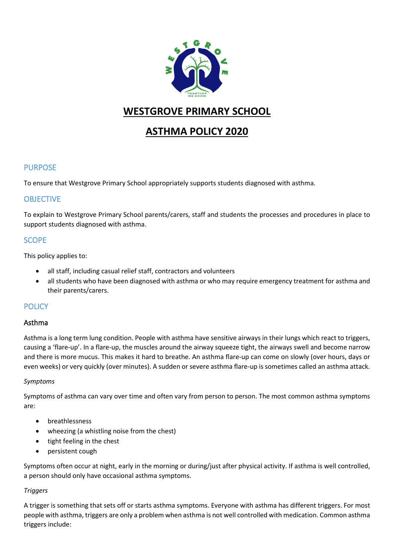

## **WESTGROVE PRIMARY SCHOOL**

# **ASTHMA POLICY 2020**

## PURPOSE

To ensure that Westgrove Primary School appropriately supports students diagnosed with asthma.

## **OBJECTIVE**

To explain to Westgrove Primary School parents/carers, staff and students the processes and procedures in place to support students diagnosed with asthma.

## **SCOPE**

This policy applies to:

- all staff, including casual relief staff, contractors and volunteers
- all students who have been diagnosed with asthma or who may require emergency treatment for asthma and their parents/carers.

## **POLICY**

#### Asthma

Asthma is a long term lung condition. People with asthma have sensitive airways in their lungs which react to triggers, causing a 'flare-up'. In a flare-up, the muscles around the airway squeeze tight, the airways swell and become narrow and there is more mucus. This makes it hard to breathe. An asthma flare-up can come on slowly (over hours, days or even weeks) or very quickly (over minutes). A sudden or severe asthma flare-up is sometimes called an asthma attack.

#### *Symptoms*

Symptoms of asthma can vary over time and often vary from person to person. The most common asthma symptoms are:

- breathlessness
- wheezing (a whistling noise from the chest)
- tight feeling in the chest
- persistent cough

Symptoms often occur at night, early in the morning or during/just after physical activity. If asthma is well controlled, a person should only have occasional asthma symptoms.

#### *Triggers*

A trigger is something that sets off or starts asthma symptoms. Everyone with asthma has different triggers. For most people with asthma, triggers are only a problem when asthma is not well controlled with medication. Common asthma triggers include: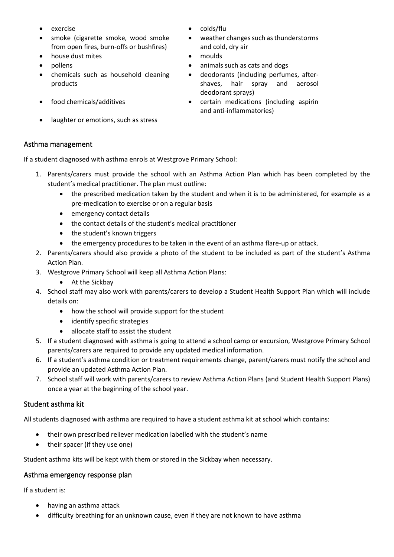- exercise colds/flu
- smoke (cigarette smoke, wood smoke from open fires, burn-offs or bushfires)
- house dust mites moulds
- 
- chemicals such as household cleaning products
- 
- laughter or emotions, such as stress
- 
- weather changes such as thunderstorms and cold, dry air
- 
- pollens animals such as cats and dogs
	- deodorants (including perfumes, aftershaves, hair spray and aerosol deodorant sprays)
	- food chemicals/additives certain medications (including aspirin and anti-inflammatories)

#### Asthma management

If a student diagnosed with asthma enrols at Westgrove Primary School:

- 1. Parents/carers must provide the school with an Asthma Action Plan which has been completed by the student's medical practitioner. The plan must outline:
	- the prescribed medication taken by the student and when it is to be administered, for example as a pre-medication to exercise or on a regular basis
	- emergency contact details
	- the contact details of the student's medical practitioner
	- the student's known triggers
	- the emergency procedures to be taken in the event of an asthma flare-up or attack.
- 2. Parents/carers should also provide a photo of the student to be included as part of the student's Asthma Action Plan.
- 3. Westgrove Primary School will keep all Asthma Action Plans:
	- At the Sickbay
- 4. School staff may also work with parents/carers to develop a Student Health Support Plan which will include details on:
	- how the school will provide support for the student
	- identify specific strategies
	- allocate staff to assist the student
- 5. If a student diagnosed with asthma is going to attend a school camp or excursion, Westgrove Primary School parents/carers are required to provide any updated medical information.
- 6. If a student's asthma condition or treatment requirements change, parent/carers must notify the school and provide an updated Asthma Action Plan.
- 7. School staff will work with parents/carers to review Asthma Action Plans (and Student Health Support Plans) once a year at the beginning of the school year.

## Student asthma kit

All students diagnosed with asthma are required to have a student asthma kit at school which contains:

- their own prescribed reliever medication labelled with the student's name
- their spacer (if they use one)

Student asthma kits will be kept with them or stored in the Sickbay when necessary.

#### Asthma emergency response plan

If a student is:

- having an asthma attack
- difficulty breathing for an unknown cause, even if they are not known to have asthma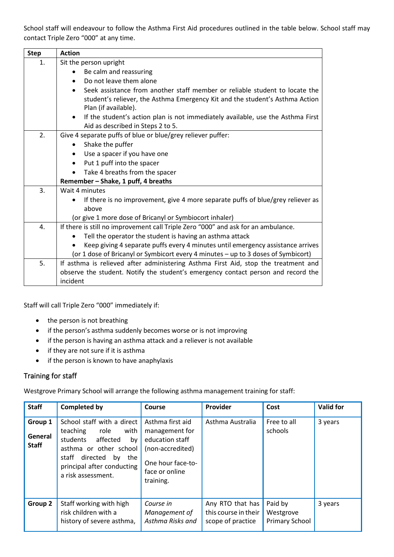School staff will endeavour to follow the Asthma First Aid procedures outlined in the table below. School staff may contact Triple Zero "000" at any time.

| <b>Step</b> | <b>Action</b>                                                                                                                                                                       |  |  |  |  |  |  |  |
|-------------|-------------------------------------------------------------------------------------------------------------------------------------------------------------------------------------|--|--|--|--|--|--|--|
| 1.          | Sit the person upright                                                                                                                                                              |  |  |  |  |  |  |  |
|             | Be calm and reassuring                                                                                                                                                              |  |  |  |  |  |  |  |
|             | Do not leave them alone                                                                                                                                                             |  |  |  |  |  |  |  |
|             | Seek assistance from another staff member or reliable student to locate the<br>student's reliever, the Asthma Emergency Kit and the student's Asthma Action<br>Plan (if available). |  |  |  |  |  |  |  |
|             | If the student's action plan is not immediately available, use the Asthma First<br>Aid as described in Steps 2 to 5.                                                                |  |  |  |  |  |  |  |
| 2.          | Give 4 separate puffs of blue or blue/grey reliever puffer:                                                                                                                         |  |  |  |  |  |  |  |
|             | Shake the puffer                                                                                                                                                                    |  |  |  |  |  |  |  |
|             | Use a spacer if you have one                                                                                                                                                        |  |  |  |  |  |  |  |
|             | Put 1 puff into the spacer                                                                                                                                                          |  |  |  |  |  |  |  |
|             | Take 4 breaths from the spacer                                                                                                                                                      |  |  |  |  |  |  |  |
|             | Remember - Shake, 1 puff, 4 breaths                                                                                                                                                 |  |  |  |  |  |  |  |
| 3.          | Wait 4 minutes                                                                                                                                                                      |  |  |  |  |  |  |  |
|             | If there is no improvement, give 4 more separate puffs of blue/grey reliever as                                                                                                     |  |  |  |  |  |  |  |
|             | above                                                                                                                                                                               |  |  |  |  |  |  |  |
|             | (or give 1 more dose of Bricanyl or Symbiocort inhaler)                                                                                                                             |  |  |  |  |  |  |  |
| 4.          | If there is still no improvement call Triple Zero "000" and ask for an ambulance.                                                                                                   |  |  |  |  |  |  |  |
|             | Tell the operator the student is having an asthma attack                                                                                                                            |  |  |  |  |  |  |  |
|             | Keep giving 4 separate puffs every 4 minutes until emergency assistance arrives                                                                                                     |  |  |  |  |  |  |  |
|             | (or 1 dose of Bricanyl or Symbicort every 4 minutes - up to 3 doses of Symbicort)                                                                                                   |  |  |  |  |  |  |  |
| 5.          | If asthma is relieved after administering Asthma First Aid, stop the treatment and                                                                                                  |  |  |  |  |  |  |  |
|             | observe the student. Notify the student's emergency contact person and record the                                                                                                   |  |  |  |  |  |  |  |
|             | incident                                                                                                                                                                            |  |  |  |  |  |  |  |

Staff will call Triple Zero "000" immediately if:

- the person is not breathing
- if the person's asthma suddenly becomes worse or is not improving
- if the person is having an asthma attack and a reliever is not available
- if they are not sure if it is asthma
- if the person is known to have anaphylaxis

## Training for staff

Westgrove Primary School will arrange the following asthma management training for staff:

| <b>Staff</b>                       | <b>Completed by</b>                                                                                                                                                                               | Course                                                                                                                        | Provider                                                      | Cost                                   | <b>Valid for</b> |
|------------------------------------|---------------------------------------------------------------------------------------------------------------------------------------------------------------------------------------------------|-------------------------------------------------------------------------------------------------------------------------------|---------------------------------------------------------------|----------------------------------------|------------------|
| Group 1<br>General<br><b>Staff</b> | School staff with a direct<br>with<br>teaching<br>role<br>affected<br>students<br>by<br>asthma or other school<br>directed<br>staff<br>by the<br>principal after conducting<br>a risk assessment. | Asthma first aid<br>management for<br>education staff<br>(non-accredited)<br>One hour face-to-<br>face or online<br>training. | Asthma Australia                                              | Free to all<br>schools                 | 3 years          |
| Group 2                            | Staff working with high<br>risk children with a<br>history of severe asthma,                                                                                                                      | Course in<br>Management of<br>Asthma Risks and                                                                                | Any RTO that has<br>this course in their<br>scope of practice | Paid by<br>Westgrove<br>Primary School | 3 years          |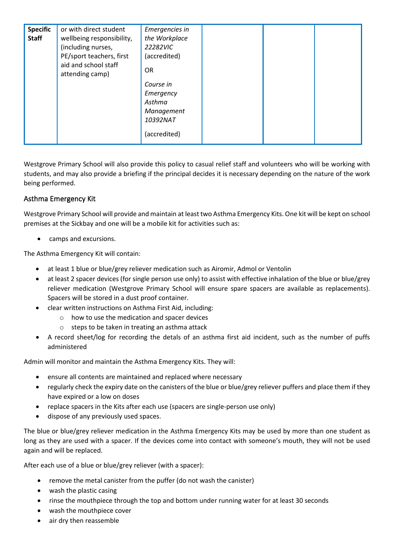| <b>Specific</b><br><b>Staff</b> | or with direct student<br>wellbeing responsibility,<br>(including nurses,<br>PE/sport teachers, first<br>aid and school staff<br>attending camp) | Emergencies in<br>the Workplace<br>22282VIC<br>(accredited)<br><b>OR</b>   |  |  |
|---------------------------------|--------------------------------------------------------------------------------------------------------------------------------------------------|----------------------------------------------------------------------------|--|--|
|                                 |                                                                                                                                                  | Course in<br>Emergency<br>Asthma<br>Management<br>10392NAT<br>(accredited) |  |  |

Westgrove Primary School will also provide this policy to casual relief staff and volunteers who will be working with students, and may also provide a briefing if the principal decides it is necessary depending on the nature of the work being performed.

## Asthma Emergency Kit

Westgrove Primary School will provide and maintain at least two Asthma Emergency Kits. One kit will be kept on school premises at the Sickbay and one will be a mobile kit for activities such as:

• camps and excursions.

The Asthma Emergency Kit will contain:

- at least 1 blue or blue/grey reliever medication such as Airomir, Admol or Ventolin
- at least 2 spacer devices (for single person use only) to assist with effective inhalation of the blue or blue/grey reliever medication (Westgrove Primary School will ensure spare spacers are available as replacements). Spacers will be stored in a dust proof container.
- clear written instructions on Asthma First Aid, including:
	- o how to use the medication and spacer devices
	- o steps to be taken in treating an asthma attack
- A record sheet/log for recording the detals of an asthma first aid incident, such as the number of puffs administered

Admin will monitor and maintain the Asthma Emergency Kits. They will:

- ensure all contents are maintained and replaced where necessary
- regularly check the expiry date on the canisters of the blue or blue/grey reliever puffers and place them if they have expired or a low on doses
- replace spacers in the Kits after each use (spacers are single-person use only)
- dispose of any previously used spaces.

The blue or blue/grey reliever medication in the Asthma Emergency Kits may be used by more than one student as long as they are used with a spacer. If the devices come into contact with someone's mouth, they will not be used again and will be replaced.

After each use of a blue or blue/grey reliever (with a spacer):

- remove the metal canister from the puffer (do not wash the canister)
- wash the plastic casing
- rinse the mouthpiece through the top and bottom under running water for at least 30 seconds
- wash the mouthpiece cover
- air dry then reassemble